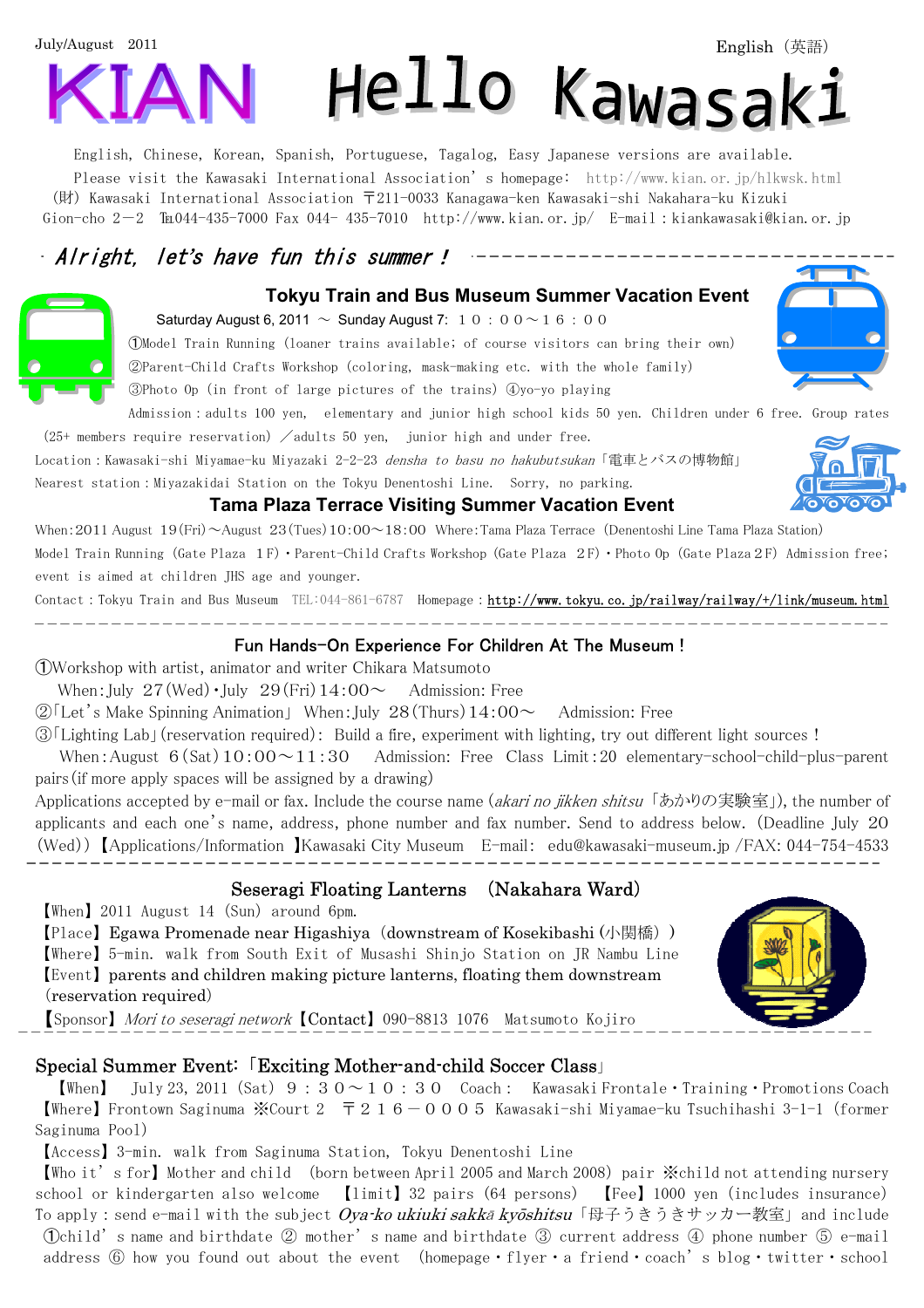# July/August 2011 Hello Kawasak:

English, Chinese, Korean, Spanish, Portuguese, Tagalog, Easy Japanese versions are available. Please visit the Kawasaki International Association's homepage: http://www.kian.or.jp/hlkwsk.html (財) Kawasaki International Association 〒211-0033 Kanagawa-ken Kawasaki-shi Nakahara-ku Kizuki Gion-cho 2-2  $\text{Im}044-435-7000$  Fax 044- 435-7010 http://www.kian.or.jp/ E-mail:kiankawasaki@kian.or.jp

# Alright, let's have fun this summer!

#### **Tokyu Train and Bus Museum Summer Vacation Event**

Saturday August 6, 2011  $\sim$  Sunday August 7: 1 0 : 0 0  $\sim$  1 6 : 0 0

➀Model Train Running (loaner trains available; of course visitors can bring their own)

②Parent-Child Crafts Workshop(coloring, mask-making etc. with the whole family)

③Photo Op(in front of large pictures of the trains)④yo-yo playing

Admission:adults 100 yen, elementary and junior high school kids 50 yen. Children under 6 free. Group rates  $(25+$  members require reservation)  $\angle$  adults 50 yen, junior high and under free.

Location: Kawasaki-shi Miyamae-ku Miyazaki 2-2-23 densha to basu no hakubutsukan「電車とバスの博物館」 Nearest station:Miyazakidai Station on the Tokyu Denentoshi Line. Sorry, no parking.

#### **Tama Plaza Terrace Visiting Summer Vacation Event**

When:2011 August 19(Fri)~August 23(Tues)10:00~18:00 Where:Tama Plaza Terrace (Denentoshi Line Tama Plaza Station)

Model Train Running (Gate Plaza 1F) · Parent-Child Crafts Workshop (Gate Plaza 2F) · Photo Op (Gate Plaza 2F) Admission free; event is aimed at children JHS age and younger.

Contact:Tokyu Train and Bus Museum TEL:044-861-6787 Homepage:http://www.tokyu.co.jp/railway/railway/+/link/museum.html

#### Fun Hands-On Experience For Children At The Museum !

➀Workshop with artist, animator and writer Chikara Matsumoto

When: July  $27$  (Wed)  $\cdot$  July  $29$  (Fri)  $14:00 \sim$  Admission: Free

<u>. 2000 2000 2000 2</u>

 $\mathcal{D}$  Let's Make Spinning Animation When: July 28 (Thurs) 14:00  $\sim$  Admission: Free

③「Lighting Lab」(reservation required): Build a fire, experiment with lighting, try out different light sources!

When: August  $6(Sat)10:00 \sim 11:30$  Admission: Free Class Limit: 20 elementary-school-child-plus-parent pairs(if more apply spaces will be assigned by a drawing)

Applications accepted by e-mail or fax. Include the course name (akari no jikken shitsu「あかりの実験室」), the number of applicants and each one's name, address, phone number and fax number. Send to address below. (Deadline July 20 (Wed)) 【Applications/Information 】Kawasaki City Museum E-mail: edu@kawasaki-museum.jp /FAX: 044-754-4533  $\overline{a}$ 

# Seseragi Floating Lanterns (Nakahara Ward)

【When】2011 August 14(Sun)around 6pm.

 $\overline{a}$ 

【Place】Egawa Promenade near Higashiya(downstream of Kosekibashi (小関橋)) 【Where】5-min. walk from South Exit of Musashi Shinjo Station on JR Nambu Line 【Event】parents and children making picture lanterns, floating them downstream (reservation required)

【Sponsor】 Mori to seseragi network【Contact】090-8813 1076 Matsumoto Kojiro

#### Special Summer Event:「Exciting Mother-and-child Soccer Class」

**[When]** July 23, 2011 (Sat)  $9:30 \sim 10:30$  Coach: Kawasaki Frontale • Training • Promotions Coach **【Where】Frontown Saginuma ※Court 2** 〒216-0005 Kawasaki-shi Miyamae-ku Tsuchihashi 3-1-1 (former Saginuma Pool)

【Access】3-min. walk from Saginuma Station, Tokyu Denentoshi Line

【Who it's for】Mother and child (born between April 2005 and March 2008)pair ※child not attending nursery school or kindergarten also welcome 【limit】32 pairs (64 persons) 【Fee】1000 yen(includes insurance) To apply: send e-mail with the subject Oya-ko ukiuki sakkā kyōshitsu「母子うきうきサッカー教室」and include ➀child's name and birthdate ② mother's name and birthdate ③ current address ④ phone number ⑤ e-mail address  $\textcircled{\tiny{6}}$  how you found out about the event (homepage · flyer · a friend · coach's blog · twitter · school